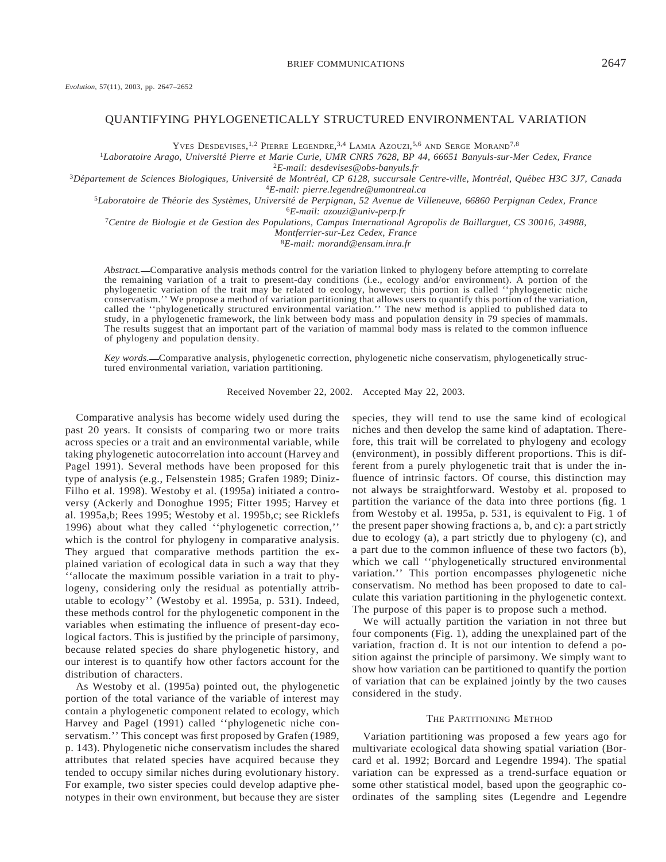# QUANTIFYING PHYLOGENETICALLY STRUCTURED ENVIRONMENTAL VARIATION

YVES DESDEVISES,<sup>1,2</sup> PIERRE LEGENDRE,<sup>3,4</sup> LAMIA AZOUZI,<sup>5,6</sup> AND SERGE MORAND<sup>7,8</sup>

<sup>1</sup>*Laboratoire Arago, Universite´ Pierre et Marie Curie, UMR CNRS 7628, BP 44, 66651 Banyuls-sur-Mer Cedex, France*

<sup>2</sup>*E-mail: desdevises@obs-banyuls.fr*

<sup>3</sup>Département de Sciences Biologiques, Université de Montréal, CP 6128, succursale Centre-ville, Montréal, Québec H3C 3J7, Canada <sup>4</sup>*E-mail: pierre.legendre@umontreal.ca*

<sup>5</sup>*Laboratoire de The´orie des Syste`mes, Universite´ de Perpignan, 52 Avenue de Villeneuve, 66860 Perpignan Cedex, France*

<sup>6</sup>*E-mail: azouzi@univ-perp.fr*

<sup>7</sup>*Centre de Biologie et de Gestion des Populations, Campus International Agropolis de Baillarguet, CS 30016, 34988,*

*Montferrier-sur-Lez Cedex, France*

<sup>8</sup>*E-mail: morand@ensam.inra.fr*

*Abstract.* Comparative analysis methods control for the variation linked to phylogeny before attempting to correlate the remaining variation of a trait to present-day conditions (i.e., ecology and/or environment). A portion of the phylogenetic variation of the trait may be related to ecology, however; this portion is called ''phylogenetic niche conservatism.'' We propose a method of variation partitioning that allows users to quantify this portion of the variation, called the ''phylogenetically structured environmental variation.'' The new method is applied to published data to study, in a phylogenetic framework, the link between body mass and population density in 79 species of mammals. The results suggest that an important part of the variation of mammal body mass is related to the common influence of phylogeny and population density.

Key words. Comparative analysis, phylogenetic correction, phylogenetic niche conservatism, phylogenetically structured environmental variation, variation partitioning.

Received November 22, 2002. Accepted May 22, 2003.

Comparative analysis has become widely used during the past 20 years. It consists of comparing two or more traits across species or a trait and an environmental variable, while taking phylogenetic autocorrelation into account (Harvey and Pagel 1991). Several methods have been proposed for this type of analysis (e.g., Felsenstein 1985; Grafen 1989; Diniz-Filho et al. 1998). Westoby et al. (1995a) initiated a controversy (Ackerly and Donoghue 1995; Fitter 1995; Harvey et al. 1995a,b; Rees 1995; Westoby et al. 1995b,c; see Ricklefs 1996) about what they called ''phylogenetic correction,'' which is the control for phylogeny in comparative analysis. They argued that comparative methods partition the explained variation of ecological data in such a way that they ''allocate the maximum possible variation in a trait to phylogeny, considering only the residual as potentially attributable to ecology'' (Westoby et al. 1995a, p. 531). Indeed, these methods control for the phylogenetic component in the variables when estimating the influence of present-day ecological factors. This is justified by the principle of parsimony, because related species do share phylogenetic history, and our interest is to quantify how other factors account for the distribution of characters.

As Westoby et al. (1995a) pointed out, the phylogenetic portion of the total variance of the variable of interest may contain a phylogenetic component related to ecology, which Harvey and Pagel (1991) called ''phylogenetic niche conservatism." This concept was first proposed by Grafen (1989, p. 143). Phylogenetic niche conservatism includes the shared attributes that related species have acquired because they tended to occupy similar niches during evolutionary history. For example, two sister species could develop adaptive phenotypes in their own environment, but because they are sister species, they will tend to use the same kind of ecological niches and then develop the same kind of adaptation. Therefore, this trait will be correlated to phylogeny and ecology (environment), in possibly different proportions. This is different from a purely phylogenetic trait that is under the influence of intrinsic factors. Of course, this distinction may not always be straightforward. Westoby et al. proposed to partition the variance of the data into three portions (fig. 1 from Westoby et al. 1995a, p. 531, is equivalent to Fig. 1 of the present paper showing fractions a, b, and c): a part strictly due to ecology (a), a part strictly due to phylogeny (c), and a part due to the common influence of these two factors (b), which we call ''phylogenetically structured environmental variation.'' This portion encompasses phylogenetic niche conservatism. No method has been proposed to date to calculate this variation partitioning in the phylogenetic context. The purpose of this paper is to propose such a method.

We will actually partition the variation in not three but four components (Fig. 1), adding the unexplained part of the variation, fraction d. It is not our intention to defend a position against the principle of parsimony. We simply want to show how variation can be partitioned to quantify the portion of variation that can be explained jointly by the two causes considered in the study.

### THE PARTITIONING METHOD

Variation partitioning was proposed a few years ago for multivariate ecological data showing spatial variation (Borcard et al. 1992; Borcard and Legendre 1994). The spatial variation can be expressed as a trend-surface equation or some other statistical model, based upon the geographic coordinates of the sampling sites (Legendre and Legendre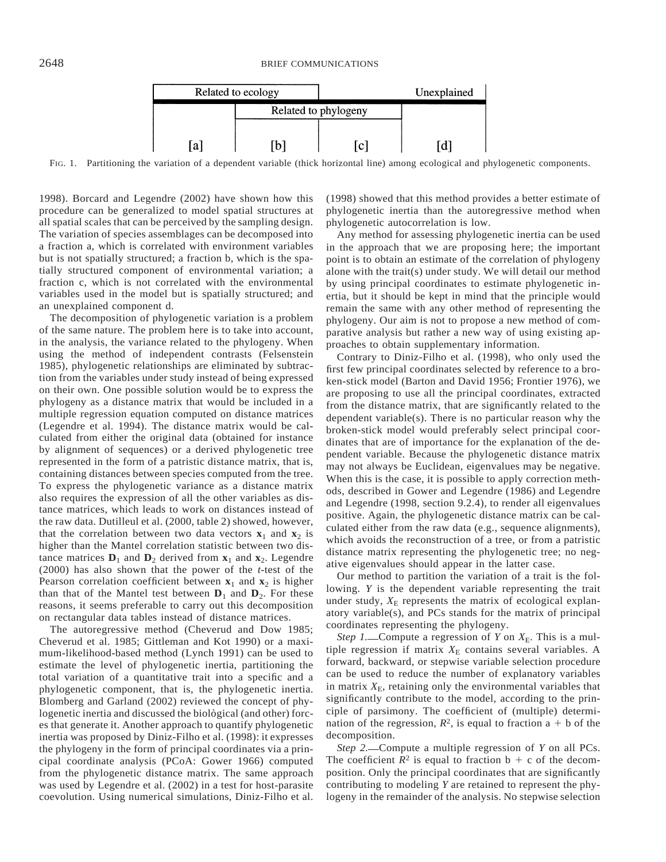

FIG. 1. Partitioning the variation of a dependent variable (thick horizontal line) among ecological and phylogenetic components.

1998). Borcard and Legendre (2002) have shown how this procedure can be generalized to model spatial structures at all spatial scales that can be perceived by the sampling design. The variation of species assemblages can be decomposed into a fraction a, which is correlated with environment variables but is not spatially structured; a fraction b, which is the spatially structured component of environmental variation; a fraction c, which is not correlated with the environmental variables used in the model but is spatially structured; and an unexplained component d.

The decomposition of phylogenetic variation is a problem of the same nature. The problem here is to take into account, in the analysis, the variance related to the phylogeny. When using the method of independent contrasts (Felsenstein 1985), phylogenetic relationships are eliminated by subtraction from the variables under study instead of being expressed on their own. One possible solution would be to express the phylogeny as a distance matrix that would be included in a multiple regression equation computed on distance matrices (Legendre et al. 1994). The distance matrix would be calculated from either the original data (obtained for instance by alignment of sequences) or a derived phylogenetic tree represented in the form of a patristic distance matrix, that is, containing distances between species computed from the tree. To express the phylogenetic variance as a distance matrix also requires the expression of all the other variables as distance matrices, which leads to work on distances instead of the raw data. Dutilleul et al. (2000, table 2) showed, however, that the correlation between two data vectors  $\mathbf{x}_1$  and  $\mathbf{x}_2$  is higher than the Mantel correlation statistic between two distance matrices  $D_1$  and  $D_2$  derived from  $x_1$  and  $x_2$ . Legendre (2000) has also shown that the power of the *t*-test of the Pearson correlation coefficient between  $\mathbf{x}_1$  and  $\mathbf{x}_2$  is higher than that of the Mantel test between  $D_1$  and  $D_2$ . For these reasons, it seems preferable to carry out this decomposition on rectangular data tables instead of distance matrices.

The autoregressive method (Cheverud and Dow 1985; Cheverud et al. 1985; Gittleman and Kot 1990) or a maximum-likelihood-based method (Lynch 1991) can be used to estimate the level of phylogenetic inertia, partitioning the total variation of a quantitative trait into a specific and a phylogenetic component, that is, the phylogenetic inertia. Blomberg and Garland (2002) reviewed the concept of phylogenetic inertia and discussed the biològical (and other) forces that generate it. Another approach to quantify phylogenetic inertia was proposed by Diniz-Filho et al. (1998): it expresses the phylogeny in the form of principal coordinates via a principal coordinate analysis (PCoA: Gower 1966) computed from the phylogenetic distance matrix. The same approach was used by Legendre et al. (2002) in a test for host-parasite coevolution. Using numerical simulations, Diniz-Filho et al.

(1998) showed that this method provides a better estimate of phylogenetic inertia than the autoregressive method when phylogenetic autocorrelation is low.

Any method for assessing phylogenetic inertia can be used in the approach that we are proposing here; the important point is to obtain an estimate of the correlation of phylogeny alone with the trait(s) under study. We will detail our method by using principal coordinates to estimate phylogenetic inertia, but it should be kept in mind that the principle would remain the same with any other method of representing the phylogeny. Our aim is not to propose a new method of comparative analysis but rather a new way of using existing approaches to obtain supplementary information.

Contrary to Diniz-Filho et al. (1998), who only used the first few principal coordinates selected by reference to a broken-stick model (Barton and David 1956; Frontier 1976), we are proposing to use all the principal coordinates, extracted from the distance matrix, that are significantly related to the dependent variable(s). There is no particular reason why the broken-stick model would preferably select principal coordinates that are of importance for the explanation of the dependent variable. Because the phylogenetic distance matrix may not always be Euclidean, eigenvalues may be negative. When this is the case, it is possible to apply correction methods, described in Gower and Legendre (1986) and Legendre and Legendre (1998, section 9.2.4), to render all eigenvalues positive. Again, the phylogenetic distance matrix can be calculated either from the raw data (e.g., sequence alignments), which avoids the reconstruction of a tree, or from a patristic distance matrix representing the phylogenetic tree; no negative eigenvalues should appear in the latter case.

Our method to partition the variation of a trait is the following. *Y* is the dependent variable representing the trait under study,  $X_{\text{E}}$  represents the matrix of ecological explanatory variable(s), and PCs stands for the matrix of principal coordinates representing the phylogeny.

*Step 1.* - Compute a regression of *Y* on  $X_E$ . This is a multiple regression if matrix  $X<sub>E</sub>$  contains several variables. A forward, backward, or stepwise variable selection procedure can be used to reduce the number of explanatory variables in matrix  $X_{\text{E}}$ , retaining only the environmental variables that significantly contribute to the model, according to the principle of parsimony. The coefficient of (multiple) determination of the regression,  $R^2$ , is equal to fraction a + b of the decomposition.

*Step 2.* - Compute a multiple regression of *Y* on all PCs. The coefficient  $R^2$  is equal to fraction  $b + c$  of the decomposition. Only the principal coordinates that are significantly contributing to modeling *Y* are retained to represent the phylogeny in the remainder of the analysis. No stepwise selection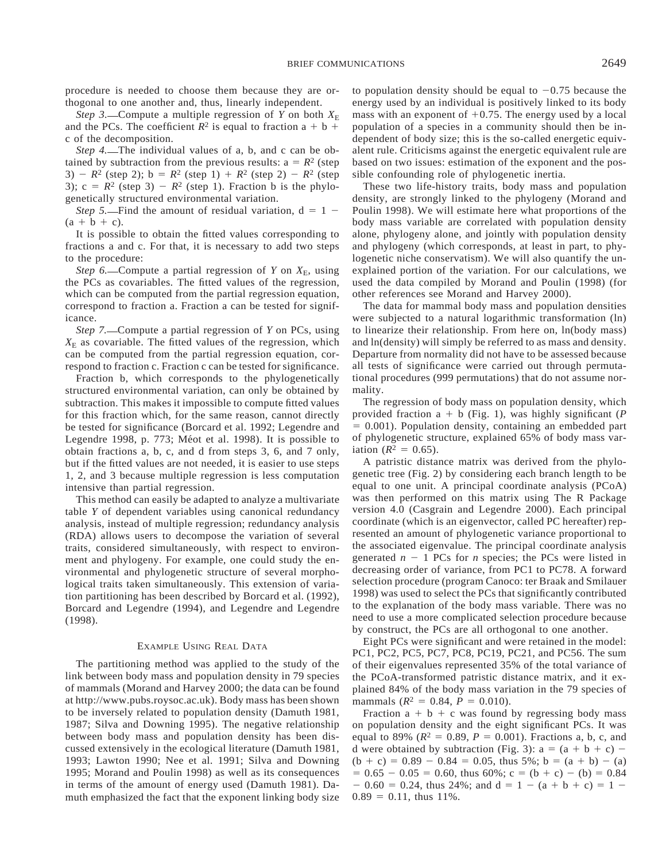procedure is needed to choose them because they are orthogonal to one another and, thus, linearly independent.

*Step 3.* Compute a multiple regression of *Y* on both  $X_{\rm E}$ and the PCs. The coefficient  $R^2$  is equal to fraction a + b + c of the decomposition.

*Step 4.* The individual values of a, b, and c can be obtained by subtraction from the previous results:  $a = R^2$  (step 3) -  $R^2$  (step 2); b =  $R^2$  (step 1) +  $R^2$  (step 2) -  $R^2$  (step 3);  $c = R^2$  (step 3) -  $R^2$  (step 1). Fraction b is the phylogenetically structured environmental variation.

*Step 5.* Find the amount of residual variation,  $d = 1 (a + b + c)$ .

It is possible to obtain the fitted values corresponding to fractions a and c. For that, it is necessary to add two steps to the procedure:

*Step 6.* Compute a partial regression of *Y* on  $X_E$ , using the PCs as covariables. The fitted values of the regression, which can be computed from the partial regression equation, correspond to fraction a. Fraction a can be tested for significance.

*Step 7.* Compute a partial regression of *Y* on PCs, using  $X<sub>E</sub>$  as covariable. The fitted values of the regression, which can be computed from the partial regression equation, correspond to fraction c. Fraction c can be tested for significance.

Fraction b, which corresponds to the phylogenetically structured environmental variation, can only be obtained by subtraction. This makes it impossible to compute fitted values for this fraction which, for the same reason, cannot directly be tested for significance (Borcard et al. 1992; Legendre and Legendre 1998, p. 773; Méot et al. 1998). It is possible to obtain fractions a, b, c, and d from steps 3, 6, and 7 only, but if the fitted values are not needed, it is easier to use steps 1, 2, and 3 because multiple regression is less computation intensive than partial regression.

This method can easily be adapted to analyze a multivariate table *Y* of dependent variables using canonical redundancy analysis, instead of multiple regression; redundancy analysis (RDA) allows users to decompose the variation of several traits, considered simultaneously, with respect to environment and phylogeny. For example, one could study the environmental and phylogenetic structure of several morphological traits taken simultaneously. This extension of variation partitioning has been described by Borcard et al. (1992), Borcard and Legendre (1994), and Legendre and Legendre (1998).

## EXAMPLE USING REAL DATA

The partitioning method was applied to the study of the link between body mass and population density in 79 species of mammals (Morand and Harvey 2000; the data can be found at http://www.pubs.roysoc.ac.uk). Body mass has been shown to be inversely related to population density (Damuth 1981, 1987; Silva and Downing 1995). The negative relationship between body mass and population density has been discussed extensively in the ecological literature (Damuth 1981, 1993; Lawton 1990; Nee et al. 1991; Silva and Downing 1995; Morand and Poulin 1998) as well as its consequences in terms of the amount of energy used (Damuth 1981). Damuth emphasized the fact that the exponent linking body size

to population density should be equal to  $-0.75$  because the energy used by an individual is positively linked to its body mass with an exponent of  $+0.75$ . The energy used by a local population of a species in a community should then be independent of body size; this is the so-called energetic equivalent rule. Criticisms against the energetic equivalent rule are based on two issues: estimation of the exponent and the possible confounding role of phylogenetic inertia.

These two life-history traits, body mass and population density, are strongly linked to the phylogeny (Morand and Poulin 1998). We will estimate here what proportions of the body mass variable are correlated with population density alone, phylogeny alone, and jointly with population density and phylogeny (which corresponds, at least in part, to phylogenetic niche conservatism). We will also quantify the unexplained portion of the variation. For our calculations, we used the data compiled by Morand and Poulin (1998) (for other references see Morand and Harvey 2000).

The data for mammal body mass and population densities were subjected to a natural logarithmic transformation (ln) to linearize their relationship. From here on, ln(body mass) and ln(density) will simply be referred to as mass and density. Departure from normality did not have to be assessed because all tests of significance were carried out through permutational procedures (999 permutations) that do not assume normality.

The regression of body mass on population density, which provided fraction  $a + b$  (Fig. 1), was highly significant (*P*  $= 0.001$ ). Population density, containing an embedded part of phylogenetic structure, explained 65% of body mass variation ( $R^2 = 0.65$ ).

A patristic distance matrix was derived from the phylogenetic tree (Fig. 2) by considering each branch length to be equal to one unit. A principal coordinate analysis (PCoA) was then performed on this matrix using The R Package version 4.0 (Casgrain and Legendre 2000). Each principal coordinate (which is an eigenvector, called PC hereafter) represented an amount of phylogenetic variance proportional to the associated eigenvalue. The principal coordinate analysis generated  $n - 1$  PCs for *n* species; the PCs were listed in decreasing order of variance, from PC1 to PC78. A forward selection procedure (program Canoco: ter Braak and Smilauer 1998) was used to select the PCs that significantly contributed to the explanation of the body mass variable. There was no need to use a more complicated selection procedure because by construct, the PCs are all orthogonal to one another.

Eight PCs were significant and were retained in the model: PC1, PC2, PC5, PC7, PC8, PC19, PC21, and PC56. The sum of their eigenvalues represented 35% of the total variance of the PCoA-transformed patristic distance matrix, and it explained 84% of the body mass variation in the 79 species of mammals  $(R^2 = 0.84, P = 0.010)$ .

Fraction  $a + b + c$  was found by regressing body mass on population density and the eight significant PCs. It was equal to 89% ( $R^2 = 0.89$ ,  $P = 0.001$ ). Fractions a, b, c, and d were obtained by subtraction (Fig. 3):  $a = (a + b + c)$  –  $(b + c) = 0.89 - 0.84 = 0.05$ , thus 5%; b =  $(a + b) - (a)$  $= 0.65 - 0.05 = 0.60$ , thus 60%; c = (b + c) - (b) = 0.84  $- 0.60 = 0.24$ , thus 24%; and  $d = 1 - (a + b + c) = 1 0.89 = 0.11$ , thus 11%.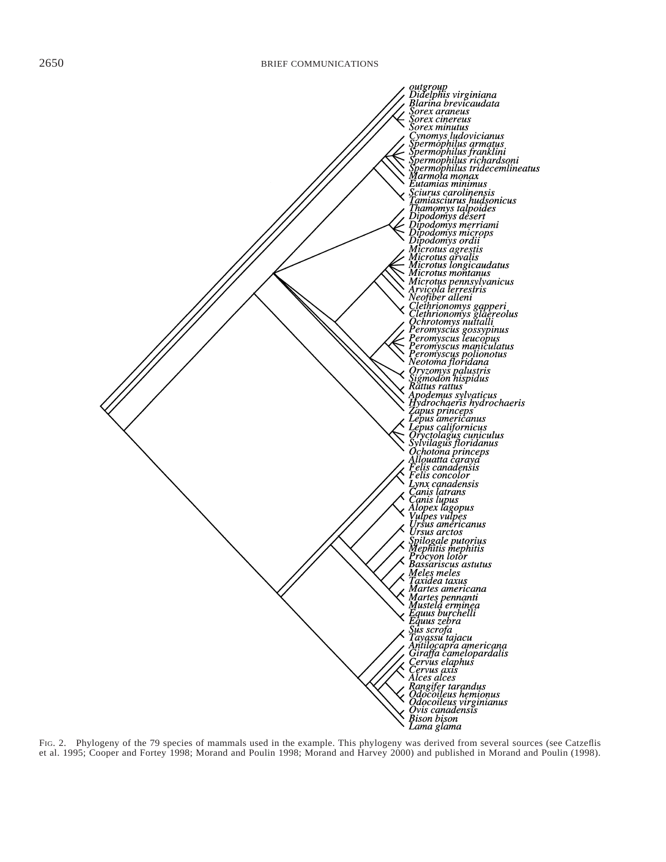## 2650 BRIEF COMMUNICATIONS



FIG. 2. Phylogeny of the 79 species of mammals used in the example. This phylogeny was derived from several sources (see Catzeflis et al. 1995; Cooper and Fortey 1998; Morand and Poulin 1998; Morand and Harvey 2000) and published in Morand and Poulin (1998).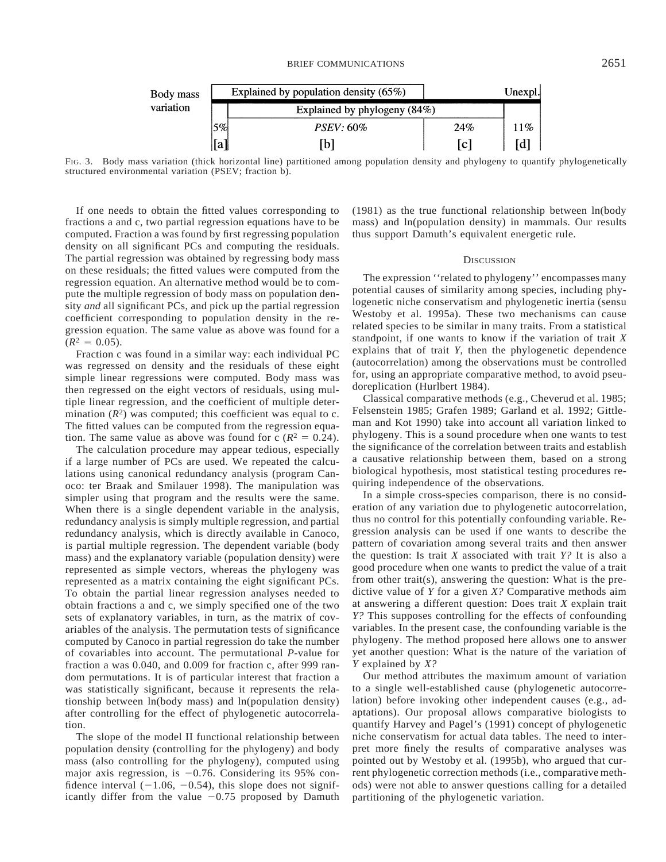

FIG. 3. Body mass variation (thick horizontal line) partitioned among population density and phylogeny to quantify phylogenetically structured environmental variation (PSEV; fraction b).

If one needs to obtain the fitted values corresponding to fractions a and c, two partial regression equations have to be computed. Fraction a was found by first regressing population density on all significant PCs and computing the residuals. The partial regression was obtained by regressing body mass on these residuals; the fitted values were computed from the regression equation. An alternative method would be to compute the multiple regression of body mass on population density *and* all significant PCs, and pick up the partial regression coefficient corresponding to population density in the regression equation. The same value as above was found for a  $(R^2 = 0.05)$ .

Fraction c was found in a similar way: each individual PC was regressed on density and the residuals of these eight simple linear regressions were computed. Body mass was then regressed on the eight vectors of residuals, using multiple linear regression, and the coefficient of multiple determination  $(R^2)$  was computed; this coefficient was equal to c. The fitted values can be computed from the regression equation. The same value as above was found for c  $(R^2 = 0.24)$ .

The calculation procedure may appear tedious, especially if a large number of PCs are used. We repeated the calculations using canonical redundancy analysis (program Canoco: ter Braak and Smilauer 1998). The manipulation was simpler using that program and the results were the same. When there is a single dependent variable in the analysis, redundancy analysis is simply multiple regression, and partial redundancy analysis, which is directly available in Canoco, is partial multiple regression. The dependent variable (body mass) and the explanatory variable (population density) were represented as simple vectors, whereas the phylogeny was represented as a matrix containing the eight significant PCs. To obtain the partial linear regression analyses needed to obtain fractions a and c, we simply specified one of the two sets of explanatory variables, in turn, as the matrix of covariables of the analysis. The permutation tests of significance computed by Canoco in partial regression do take the number of covariables into account. The permutational *P*-value for fraction a was 0.040, and 0.009 for fraction c, after 999 random permutations. It is of particular interest that fraction a was statistically significant, because it represents the relationship between ln(body mass) and ln(population density) after controlling for the effect of phylogenetic autocorrelation.

The slope of the model II functional relationship between population density (controlling for the phylogeny) and body mass (also controlling for the phylogeny), computed using major axis regression, is  $-0.76$ . Considering its 95% confidence interval  $(-1.06, -0.54)$ , this slope does not significantly differ from the value  $-0.75$  proposed by Damuth (1981) as the true functional relationship between ln(body mass) and ln(population density) in mammals. Our results thus support Damuth's equivalent energetic rule.

### **DISCUSSION**

The expression ''related to phylogeny'' encompasses many potential causes of similarity among species, including phylogenetic niche conservatism and phylogenetic inertia (sensu Westoby et al. 1995a). These two mechanisms can cause related species to be similar in many traits. From a statistical standpoint, if one wants to know if the variation of trait *X* explains that of trait *Y*, then the phylogenetic dependence (autocorrelation) among the observations must be controlled for, using an appropriate comparative method, to avoid pseudoreplication (Hurlbert 1984).

Classical comparative methods (e.g., Cheverud et al. 1985; Felsenstein 1985; Grafen 1989; Garland et al. 1992; Gittleman and Kot 1990) take into account all variation linked to phylogeny. This is a sound procedure when one wants to test the significance of the correlation between traits and establish a causative relationship between them, based on a strong biological hypothesis, most statistical testing procedures requiring independence of the observations.

In a simple cross-species comparison, there is no consideration of any variation due to phylogenetic autocorrelation, thus no control for this potentially confounding variable. Regression analysis can be used if one wants to describe the pattern of covariation among several traits and then answer the question: Is trait *X* associated with trait *Y?* It is also a good procedure when one wants to predict the value of a trait from other trait(s), answering the question: What is the predictive value of *Y* for a given *X?* Comparative methods aim at answering a different question: Does trait *X* explain trait *Y?* This supposes controlling for the effects of confounding variables. In the present case, the confounding variable is the phylogeny. The method proposed here allows one to answer yet another question: What is the nature of the variation of *Y* explained by *X?*

Our method attributes the maximum amount of variation to a single well-established cause (phylogenetic autocorrelation) before invoking other independent causes (e.g., adaptations). Our proposal allows comparative biologists to quantify Harvey and Pagel's (1991) concept of phylogenetic niche conservatism for actual data tables. The need to interpret more finely the results of comparative analyses was pointed out by Westoby et al. (1995b), who argued that current phylogenetic correction methods (i.e., comparative methods) were not able to answer questions calling for a detailed partitioning of the phylogenetic variation.